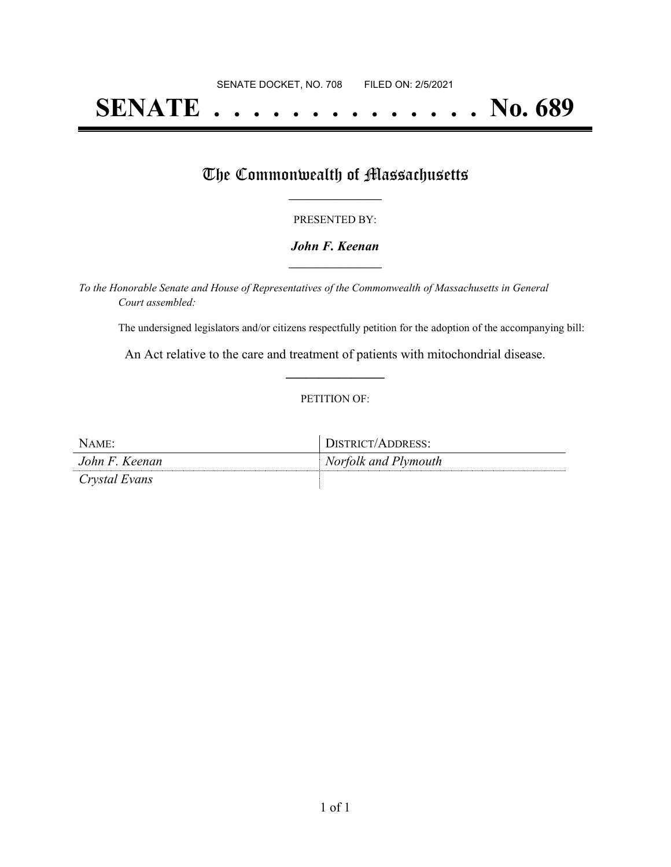# **SENATE . . . . . . . . . . . . . . No. 689**

# The Commonwealth of Massachusetts

### PRESENTED BY:

## *John F. Keenan* **\_\_\_\_\_\_\_\_\_\_\_\_\_\_\_\_\_**

*To the Honorable Senate and House of Representatives of the Commonwealth of Massachusetts in General Court assembled:*

The undersigned legislators and/or citizens respectfully petition for the adoption of the accompanying bill:

An Act relative to the care and treatment of patients with mitochondrial disease. **\_\_\_\_\_\_\_\_\_\_\_\_\_\_\_**

## PETITION OF:

| $N$ A ME       | DISTRICT/ADDRESS:    |
|----------------|----------------------|
| John F. Keenan | Norfolk and Plymouth |
| Crystal Evans  |                      |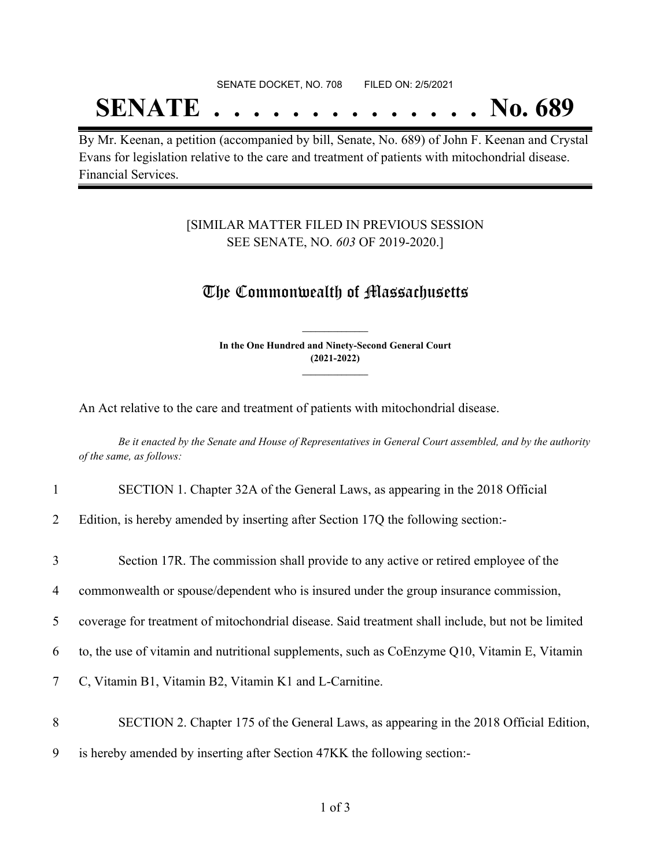#### SENATE DOCKET, NO. 708 FILED ON: 2/5/2021

# **SENATE . . . . . . . . . . . . . . No. 689**

By Mr. Keenan, a petition (accompanied by bill, Senate, No. 689) of John F. Keenan and Crystal Evans for legislation relative to the care and treatment of patients with mitochondrial disease. Financial Services.

## [SIMILAR MATTER FILED IN PREVIOUS SESSION SEE SENATE, NO. *603* OF 2019-2020.]

# The Commonwealth of Massachusetts

**In the One Hundred and Ninety-Second General Court (2021-2022) \_\_\_\_\_\_\_\_\_\_\_\_\_\_\_**

**\_\_\_\_\_\_\_\_\_\_\_\_\_\_\_**

An Act relative to the care and treatment of patients with mitochondrial disease.

Be it enacted by the Senate and House of Representatives in General Court assembled, and by the authority *of the same, as follows:*

#### 1 SECTION 1. Chapter 32A of the General Laws, as appearing in the 2018 Official

2 Edition, is hereby amended by inserting after Section 17Q the following section:-

| 3 | Section 17R. The commission shall provide to any active or retired employee of the                |
|---|---------------------------------------------------------------------------------------------------|
| 4 | commonwealth or spouse/dependent who is insured under the group insurance commission,             |
| 5 | coverage for treatment of mitochondrial disease. Said treatment shall include, but not be limited |
| 6 | to, the use of vitamin and nutritional supplements, such as CoEnzyme Q10, Vitamin E, Vitamin      |
| 7 | C, Vitamin B1, Vitamin B2, Vitamin K1 and L-Carnitine.                                            |
| 8 | SECTION 2. Chapter 175 of the General Laws, as appearing in the 2018 Official Edition,            |
| 9 | is hereby amended by inserting after Section 47KK the following section:-                         |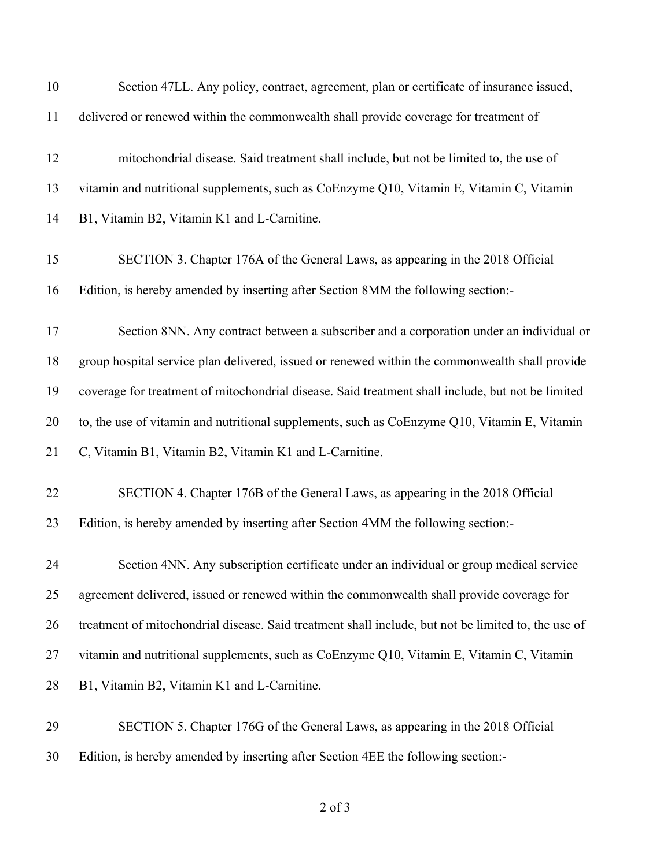| 10 | Section 47LL. Any policy, contract, agreement, plan or certificate of insurance issued,             |
|----|-----------------------------------------------------------------------------------------------------|
| 11 | delivered or renewed within the commonwealth shall provide coverage for treatment of                |
| 12 | mitochondrial disease. Said treatment shall include, but not be limited to, the use of              |
| 13 | vitamin and nutritional supplements, such as CoEnzyme Q10, Vitamin E, Vitamin C, Vitamin            |
| 14 | B1, Vitamin B2, Vitamin K1 and L-Carnitine.                                                         |
| 15 | SECTION 3. Chapter 176A of the General Laws, as appearing in the 2018 Official                      |
| 16 | Edition, is hereby amended by inserting after Section 8MM the following section:-                   |
| 17 | Section 8NN. Any contract between a subscriber and a corporation under an individual or             |
| 18 | group hospital service plan delivered, issued or renewed within the commonwealth shall provide      |
| 19 | coverage for treatment of mitochondrial disease. Said treatment shall include, but not be limited   |
| 20 | to, the use of vitamin and nutritional supplements, such as CoEnzyme Q10, Vitamin E, Vitamin        |
| 21 | C, Vitamin B1, Vitamin B2, Vitamin K1 and L-Carnitine.                                              |
| 22 | SECTION 4. Chapter 176B of the General Laws, as appearing in the 2018 Official                      |
| 23 | Edition, is hereby amended by inserting after Section 4MM the following section:-                   |
| 24 | Section 4NN. Any subscription certificate under an individual or group medical service              |
| 25 | agreement delivered, issued or renewed within the commonwealth shall provide coverage for           |
| 26 | treatment of mitochondrial disease. Said treatment shall include, but not be limited to, the use of |
| 27 | vitamin and nutritional supplements, such as CoEnzyme Q10, Vitamin E, Vitamin C, Vitamin            |
| 28 | B1, Vitamin B2, Vitamin K1 and L-Carnitine.                                                         |
| 29 | SECTION 5. Chapter 176G of the General Laws, as appearing in the 2018 Official                      |
| 30 | Edition, is hereby amended by inserting after Section 4EE the following section:-                   |

of 3